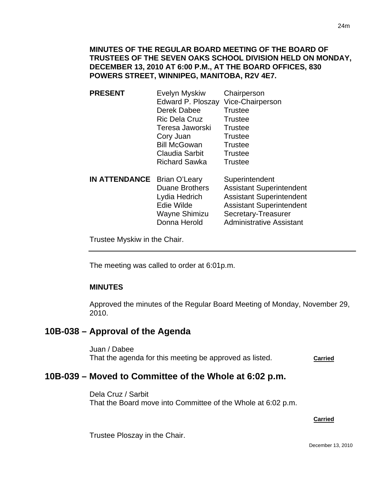### **MINUTES OF THE REGULAR BOARD MEETING OF THE BOARD OF TRUSTEES OF THE SEVEN OAKS SCHOOL DIVISION HELD ON MONDAY, DECEMBER 13, 2010 AT 6:00 P.M., AT THE BOARD OFFICES, 830 POWERS STREET, WINNIPEG, MANITOBA, R2V 4E7.**

- **PRESENT** Evelyn Myskiw Chairperson Edward P. Ploszay Vice-Chairperson Derek Dabee Trustee Ric Dela Cruz Trustee Teresa Jaworski Trustee Cory Juan Trustee Bill McGowan Trustee Claudia Sarbit Trustee Richard Sawka Trustee
- **IN ATTENDANCE** Brian O'Leary Superintendent Duane Brothers Assistant Superintendent Lydia Hedrich Assistant Superintendent Edie Wilde Assistant Superintendent Wayne Shimizu Secretary-Treasurer Donna Herold Administrative Assistant

Trustee Myskiw in the Chair.

The meeting was called to order at 6:01p.m.

### **MINUTES**

I

Approved the minutes of the Regular Board Meeting of Monday, November 29, 2010.

## **10B-038 – Approval of the Agenda**

Juan / Dabee That the agenda for this meeting be approved as listed. **Carried**

## **10B-039 – Moved to Committee of the Whole at 6:02 p.m.**

Dela Cruz / Sarbit That the Board move into Committee of the Whole at 6:02 p.m.

**Carried** Carried Communication of the Carried Carried Carried Carried Carried Carried Carried Carried Carried Carried Carried Carried Carried Carried Carried Carried Carried Carried Carried Carried Carried Carried Carried

Trustee Ploszay in the Chair.

December 13, 2010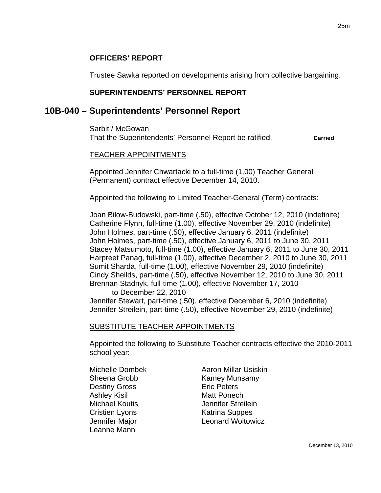### **OFFICERS' REPORT**

Trustee Sawka reported on developments arising from collective bargaining.

### **SUPERINTENDENTS' PERSONNEL REPORT**

## **10B-040 – Superintendents' Personnel Report**

Sarbit / McGowan That the Superintendents' Personnel Report be ratified. **Carried**

#### TEACHER APPOINTMENTS

Appointed Jennifer Chwartacki to a full-time (1.00) Teacher General (Permanent) contract effective December 14, 2010.

Appointed the following to Limited Teacher-General (Term) contracts:

Joan Bilow-Budowski, part-time (.50), effective October 12, 2010 (indefinite) Catherine Flynn, full-time (1.00), effective November 29, 2010 (indefinite) John Holmes, part-time (.50), effective January 6, 2011 (indefinite) John Holmes, part-time (.50), effective January 6, 2011 to June 30, 2011 Stacey Matsumoto, full-time (1.00), effective January 6, 2011 to June 30, 2011 Harpreet Panag, full-time (1.00), effective December 2, 2010 to June 30, 2011 Sumit Sharda, full-time (1.00), effective November 29, 2010 (indefinite) Cindy Sheilds, part-time (.50), effective November 12, 2010 to June 30, 2011 Brennan Stadnyk, full-time (1.00), effective November 17, 2010

to December 22, 2010

Jennifer Stewart, part-time (.50), effective December 6, 2010 (indefinite) Jennifer Streilein, part-time (.50), effective November 29, 2010 (indefinite)

### SUBSTITUTE TEACHER APPOINTMENTS

Appointed the following to Substitute Teacher contracts effective the 2010-2011 school year:

Destiny Gross Eric Peters Ashley Kisil **Matt Ponech Cristien Lyons** Katrina Suppes Leanne Mann

Michelle Dombek **Aaron Millar Usiskin** Sheena Grobb Kamey Munsamy Michael Koutis **Michael Koutis** Jennifer Streilein Jennifer Major Leonard Woitowicz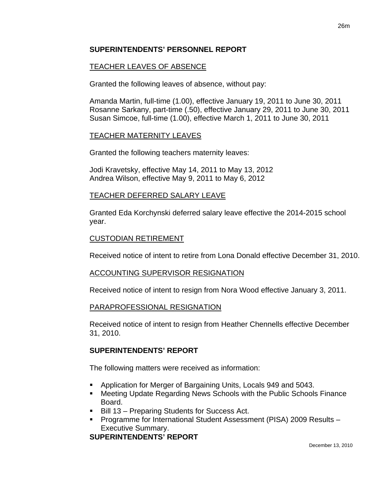### **SUPERINTENDENTS' PERSONNEL REPORT**

## TEACHER LEAVES OF ABSENCE

Granted the following leaves of absence, without pay:

26m

Amanda Martin, full-time (1.00), effective January 19, 2011 to June 30, 2011 Rosanne Sarkany, part-time (.50), effective January 29, 2011 to June 30, 2011 Susan Simcoe, full-time (1.00), effective March 1, 2011 to June 30, 2011

### TEACHER MATERNITY LEAVES

Granted the following teachers maternity leaves:

Jodi Kravetsky, effective May 14, 2011 to May 13, 2012 Andrea Wilson, effective May 9, 2011 to May 6, 2012

## TEACHER DEFERRED SALARY LEAVE

Granted Eda Korchynski deferred salary leave effective the 2014-2015 school year.

### CUSTODIAN RETIREMENT

Received notice of intent to retire from Lona Donald effective December 31, 2010.

### ACCOUNTING SUPERVISOR RESIGNATION

Received notice of intent to resign from Nora Wood effective January 3, 2011.

### PARAPROFESSIONAL RESIGNATION

Received notice of intent to resign from Heather Chennells effective December 31, 2010.

## **SUPERINTENDENTS' REPORT**

The following matters were received as information:

- Application for Merger of Bargaining Units, Locals 949 and 5043.
- Meeting Update Regarding News Schools with the Public Schools Finance Board.
- Bill 13 Preparing Students for Success Act.
- Programme for International Student Assessment (PISA) 2009 Results Executive Summary.

## **SUPERINTENDENTS' REPORT**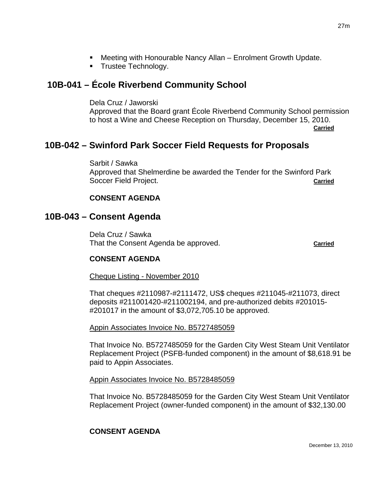- Meeting with Honourable Nancy Allan Enrolment Growth Update.
- **Trustee Technology.**

# **10B-041 – École Riverbend Community School**

Dela Cruz / Jaworski Approved that the Board grant École Riverbend Community School permission to host a Wine and Cheese Reception on Thursday, December 15, 2010. **Carried** Carried Communication of the Carried Carried Carried Carried Carried Carried Carried Carried Carried Carried Carried Carried Carried Carried Carried Carried Carried Carried Carried Carried Carried Carried Carried

# **10B-042 – Swinford Park Soccer Field Requests for Proposals**

Sarbit / Sawka Approved that Shelmerdine be awarded the Tender for the Swinford Park Soccer Field Project. **Carried**

## **CONSENT AGENDA**

## **10B-043 – Consent Agenda**

Dela Cruz / Sawka That the Consent Agenda be approved. **Carried**

## **CONSENT AGENDA**

Cheque Listing - November 2010

That cheques #2110987-#2111472, US\$ cheques #211045-#211073, direct deposits #211001420-#211002194, and pre-authorized debits #201015- #201017 in the amount of \$3,072,705.10 be approved.

### Appin Associates Invoice No. B5727485059

That Invoice No. B5727485059 for the Garden City West Steam Unit Ventilator Replacement Project (PSFB-funded component) in the amount of \$8,618.91 be paid to Appin Associates.

### Appin Associates Invoice No. B5728485059

That Invoice No. B5728485059 for the Garden City West Steam Unit Ventilator Replacement Project (owner-funded component) in the amount of \$32,130.00

## **CONSENT AGENDA**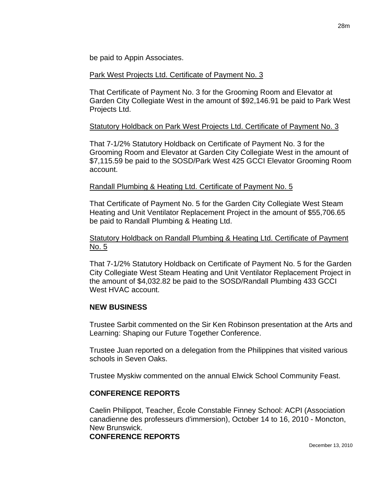be paid to Appin Associates.

#### Park West Projects Ltd. Certificate of Payment No. 3

That Certificate of Payment No. 3 for the Grooming Room and Elevator at Garden City Collegiate West in the amount of \$92,146.91 be paid to Park West Projects Ltd.

### Statutory Holdback on Park West Projects Ltd. Certificate of Payment No. 3

That 7-1/2% Statutory Holdback on Certificate of Payment No. 3 for the Grooming Room and Elevator at Garden City Collegiate West in the amount of \$7,115.59 be paid to the SOSD/Park West 425 GCCI Elevator Grooming Room account.

#### Randall Plumbing & Heating Ltd. Certificate of Payment No. 5

That Certificate of Payment No. 5 for the Garden City Collegiate West Steam Heating and Unit Ventilator Replacement Project in the amount of \$55,706.65 be paid to Randall Plumbing & Heating Ltd.

### Statutory Holdback on Randall Plumbing & Heating Ltd. Certificate of Payment No. 5

That 7-1/2% Statutory Holdback on Certificate of Payment No. 5 for the Garden City Collegiate West Steam Heating and Unit Ventilator Replacement Project in the amount of \$4,032.82 be paid to the SOSD/Randall Plumbing 433 GCCI West HVAC account.

### **NEW BUSINESS**

Trustee Sarbit commented on the Sir Ken Robinson presentation at the Arts and Learning: Shaping our Future Together Conference.

Trustee Juan reported on a delegation from the Philippines that visited various schools in Seven Oaks.

Trustee Myskiw commented on the annual Elwick School Community Feast.

### **CONFERENCE REPORTS**

Caelin Philippot, Teacher, École Constable Finney School: ACPI (Association canadienne des professeurs d'immersion), October 14 to 16, 2010 - Moncton, New Brunswick.

#### **CONFERENCE REPORTS**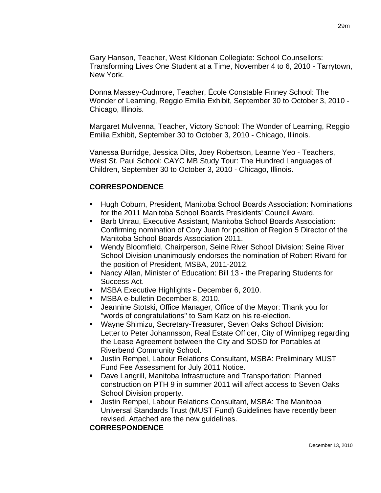Gary Hanson, Teacher, West Kildonan Collegiate: School Counsellors: Transforming Lives One Student at a Time, November 4 to 6, 2010 - Tarrytown, New York.

Donna Massey-Cudmore, Teacher, École Constable Finney School: The Wonder of Learning, Reggio Emilia Exhibit, September 30 to October 3, 2010 - Chicago, Illinois.

Margaret Mulvenna, Teacher, Victory School: The Wonder of Learning, Reggio Emilia Exhibit, September 30 to October 3, 2010 - Chicago, Illinois.

Vanessa Burridge, Jessica Dilts, Joey Robertson, Leanne Yeo - Teachers, West St. Paul School: CAYC MB Study Tour: The Hundred Languages of Children, September 30 to October 3, 2010 - Chicago, Illinois.

### **CORRESPONDENCE**

- Hugh Coburn, President, Manitoba School Boards Association: Nominations for the 2011 Manitoba School Boards Presidents' Council Award.
- **Barb Unrau, Executive Assistant, Manitoba School Boards Association:** Confirming nomination of Cory Juan for position of Region 5 Director of the Manitoba School Boards Association 2011.
- Wendy Bloomfield, Chairperson, Seine River School Division: Seine River School Division unanimously endorses the nomination of Robert Rivard for the position of President, MSBA, 2011-2012.
- Nancy Allan, Minister of Education: Bill 13 the Preparing Students for Success Act.
- **MSBA Executive Highlights December 6, 2010.**
- **MSBA e-bulletin December 8, 2010.**
- Jeannine Stotski, Office Manager, Office of the Mayor: Thank you for "words of congratulations" to Sam Katz on his re-election.
- Wayne Shimizu, Secretary-Treasurer, Seven Oaks School Division: Letter to Peter Johannsson, Real Estate Officer, City of Winnipeg regarding the Lease Agreement between the City and SOSD for Portables at Riverbend Community School.
- **Justin Rempel, Labour Relations Consultant, MSBA: Preliminary MUST** Fund Fee Assessment for July 2011 Notice.
- Dave Langrill, Manitoba Infrastructure and Transportation: Planned construction on PTH 9 in summer 2011 will affect access to Seven Oaks School Division property.
- Justin Rempel, Labour Relations Consultant, MSBA: The Manitoba Universal Standards Trust (MUST Fund) Guidelines have recently been revised. Attached are the new guidelines.

### **CORRESPONDENCE**